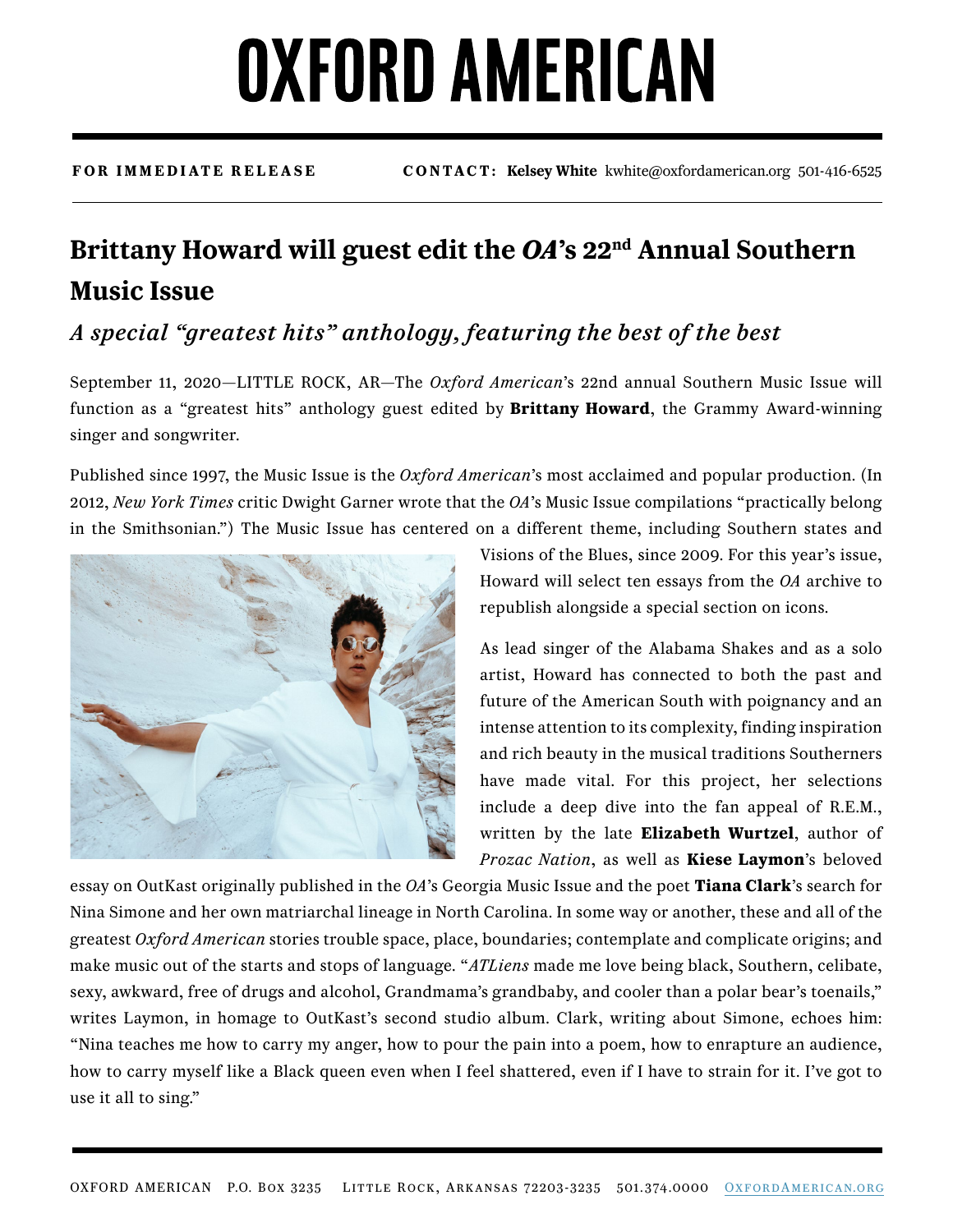# **OXFORD AMERICAN**

**FOR IMMEDIATE RELEASE CONTACT: Kelsey White** kwhite@oxfordamerican.org 501-416-6525

### **Brittany Howard will guest edit the** *OA***'s 22nd Annual Southern Music Issue**

### *A special "greatest hits" anthology, featuring the best of the best*

September 11, 2020—LITTLE ROCK, AR—The *Oxford American*'s 22nd annual Southern Music Issue will function as a "greatest hits" anthology guest edited by **Brittany Howard**, the Grammy Award-winning singer and songwriter.

Published since 1997, the Music Issue is the *Oxford American*'s most acclaimed and popular production. (In 2012, *New York Times* critic Dwight Garner wrote that the *OA*'s Music Issue compilations "practically belong in the Smithsonian.") The Music Issue has centered on a different theme, including Southern states and



Visions of the Blues, since 2009. For this year's issue, Howard will select ten essays from the *OA* archive to republish alongside a special section on icons.

As lead singer of the Alabama Shakes and as a solo artist, Howard has connected to both the past and future of the American South with poignancy and an intense attention to its complexity, finding inspiration and rich beauty in the musical traditions Southerners have made vital. For this project, her selections include a deep dive into the fan appeal of R.E.M., written by the late **Elizabeth Wurtzel**, author of *Prozac Nation*, as well as **Kiese Laymon**'s beloved

essay on OutKast originally published in the *OA*'s Georgia Music Issue and the poet **Tiana Clark**'s search for Nina Simone and her own matriarchal lineage in North Carolina. In some way or another, these and all of the greatest *Oxford American* stories trouble space, place, boundaries; contemplate and complicate origins; and make music out of the starts and stops of language. "*ATLiens* made me love being black, Southern, celibate, sexy, awkward, free of drugs and alcohol, Grandmama's grandbaby, and cooler than a polar bear's toenails," writes Laymon, in homage to OutKast's second studio album. Clark, writing about Simone, echoes him: "Nina teaches me how to carry my anger, how to pour the pain into a poem, how to enrapture an audience, how to carry myself like a Black queen even when I feel shattered, even if I have to strain for it. I've got to use it all to sing."